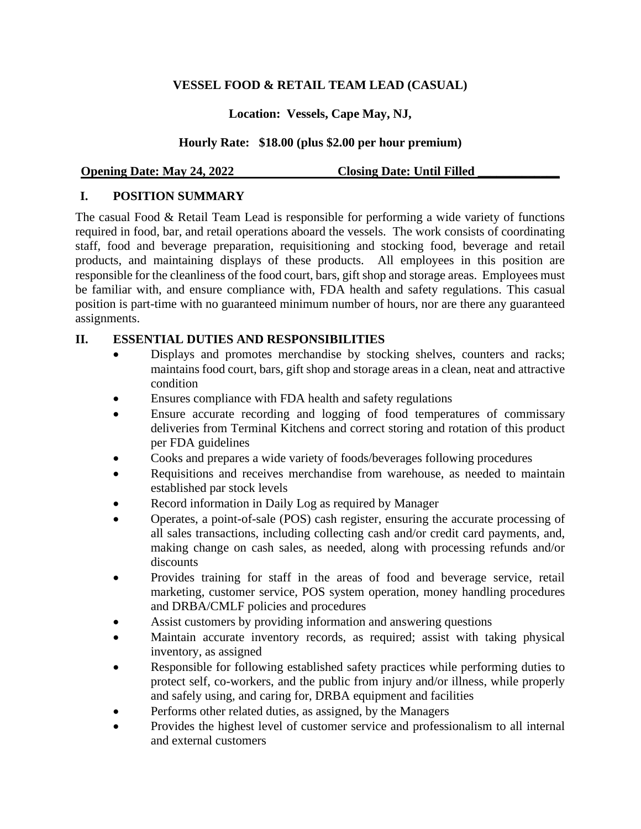### **VESSEL FOOD & RETAIL TEAM LEAD (CASUAL)**

## **Location: Vessels, Cape May, NJ,**

## **Hourly Rate: \$18.00 (plus \$2.00 per hour premium)**

#### **Opening Date: May 24, 2022 Closing Date: Until Filled**

### **I. POSITION SUMMARY**

The casual Food & Retail Team Lead is responsible for performing a wide variety of functions required in food, bar, and retail operations aboard the vessels. The work consists of coordinating staff, food and beverage preparation, requisitioning and stocking food, beverage and retail products, and maintaining displays of these products. All employees in this position are responsible for the cleanliness of the food court, bars, gift shop and storage areas. Employees must be familiar with, and ensure compliance with, FDA health and safety regulations. This casual position is part-time with no guaranteed minimum number of hours, nor are there any guaranteed assignments.

### **II. ESSENTIAL DUTIES AND RESPONSIBILITIES**

- Displays and promotes merchandise by stocking shelves, counters and racks; maintains food court, bars, gift shop and storage areas in a clean, neat and attractive condition
- Ensures compliance with FDA health and safety regulations
- Ensure accurate recording and logging of food temperatures of commissary deliveries from Terminal Kitchens and correct storing and rotation of this product per FDA guidelines
- Cooks and prepares a wide variety of foods/beverages following procedures
- Requisitions and receives merchandise from warehouse, as needed to maintain established par stock levels
- Record information in Daily Log as required by Manager
- Operates, a point-of-sale (POS) cash register, ensuring the accurate processing of all sales transactions, including collecting cash and/or credit card payments, and, making change on cash sales, as needed, along with processing refunds and/or discounts
- Provides training for staff in the areas of food and beverage service, retail marketing, customer service, POS system operation, money handling procedures and DRBA/CMLF policies and procedures
- Assist customers by providing information and answering questions
- Maintain accurate inventory records, as required; assist with taking physical inventory, as assigned
- Responsible for following established safety practices while performing duties to protect self, co-workers, and the public from injury and/or illness, while properly and safely using, and caring for, DRBA equipment and facilities
- Performs other related duties, as assigned, by the Managers
- Provides the highest level of customer service and professionalism to all internal and external customers